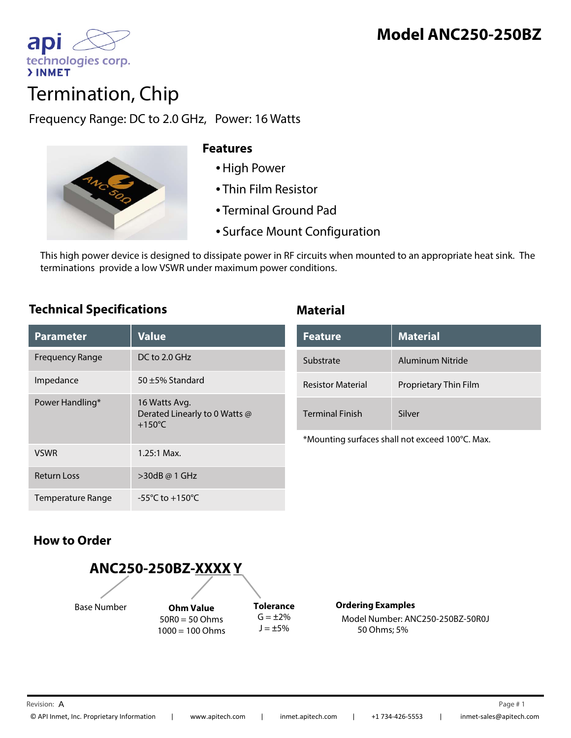

# Termination, Chip

Frequency Range: DC to 2.0 GHz, Power: 16 Watts



### **Features**

- •High Power
- Thin Film Resistor
- Terminal Ground Pad
- Surface Mount Configuration

This high power device is designed to dissipate power in RF circuits when mounted to an appropriate heat sink. The terminations provide a low VSWR under maximum power conditions.

## **Technical Specifications Material**

| <b>Parameter</b>       | <b>Value</b>                                                       |
|------------------------|--------------------------------------------------------------------|
| <b>Frequency Range</b> | $DC$ to 2.0 GHz                                                    |
| Impedance              | 50 $\pm$ 5% Standard                                               |
| Power Handling*        | 16 Watts Avg.<br>Derated Linearly to 0 Watts @<br>$+150^{\circ}$ C |
| <b>VSWR</b>            | $1.25:1$ Max.                                                      |
| <b>Return Loss</b>     | >30dB @ 1 GHz                                                      |
| Temperature Range      | -55 $^{\circ}$ C to +150 $^{\circ}$ C                              |

| <b>Feature</b>           | <b>Material</b>       |
|--------------------------|-----------------------|
| Substrate                | Aluminum Nitride      |
| <b>Resistor Material</b> | Proprietary Thin Film |
| <b>Terminal Finish</b>   | Silver                |

\*Mounting surfaces shall not exceed 100°C. Max.

# **How to Order**



**Ordering Examples** Model Number: ANC250-250BZ-50R0J 50 Ohms; 5%